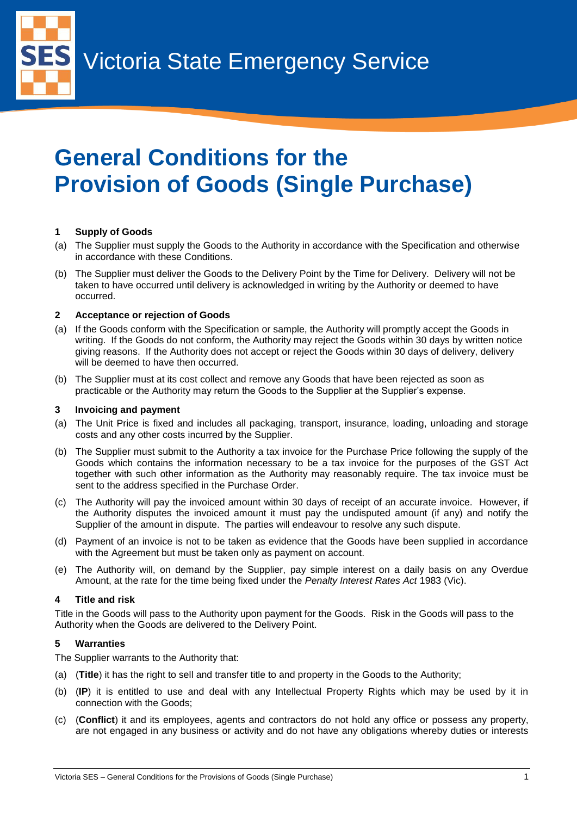Victoria State Emergency Service

# **General Conditions for the Provision of Goods (Single Purchase)**

# **1 Supply of Goods**

5

- (a) The Supplier must supply the Goods to the Authority in accordance with the Specification and otherwise in accordance with these Conditions.
- (b) The Supplier must deliver the Goods to the Delivery Point by the Time for Delivery. Delivery will not be taken to have occurred until delivery is acknowledged in writing by the Authority or deemed to have occurred.

# **2 Acceptance or rejection of Goods**

- (a) If the Goods conform with the Specification or sample, the Authority will promptly accept the Goods in writing. If the Goods do not conform, the Authority may reject the Goods within 30 days by written notice giving reasons. If the Authority does not accept or reject the Goods within 30 days of delivery, delivery will be deemed to have then occurred.
- (b) The Supplier must at its cost collect and remove any Goods that have been rejected as soon as practicable or the Authority may return the Goods to the Supplier at the Supplier's expense.

# **3 Invoicing and payment**

- (a) The Unit Price is fixed and includes all packaging, transport, insurance, loading, unloading and storage costs and any other costs incurred by the Supplier.
- (b) The Supplier must submit to the Authority a tax invoice for the Purchase Price following the supply of the Goods which contains the information necessary to be a tax invoice for the purposes of the GST Act together with such other information as the Authority may reasonably require. The tax invoice must be sent to the address specified in the Purchase Order.
- (c) The Authority will pay the invoiced amount within 30 days of receipt of an accurate invoice. However, if the Authority disputes the invoiced amount it must pay the undisputed amount (if any) and notify the Supplier of the amount in dispute. The parties will endeavour to resolve any such dispute.
- (d) Payment of an invoice is not to be taken as evidence that the Goods have been supplied in accordance with the Agreement but must be taken only as payment on account.
- (e) The Authority will, on demand by the Supplier, pay simple interest on a daily basis on any Overdue Amount, at the rate for the time being fixed under the *Penalty Interest Rates Act* 1983 (Vic).

# **4 Title and risk**

Title in the Goods will pass to the Authority upon payment for the Goods. Risk in the Goods will pass to the Authority when the Goods are delivered to the Delivery Point.

# **5 Warranties**

The Supplier warrants to the Authority that:

- (a) (**Title**) it has the right to sell and transfer title to and property in the Goods to the Authority;
- (b) (**IP**) it is entitled to use and deal with any Intellectual Property Rights which may be used by it in connection with the Goods;
- (c) (**Conflict**) it and its employees, agents and contractors do not hold any office or possess any property, are not engaged in any business or activity and do not have any obligations whereby duties or interests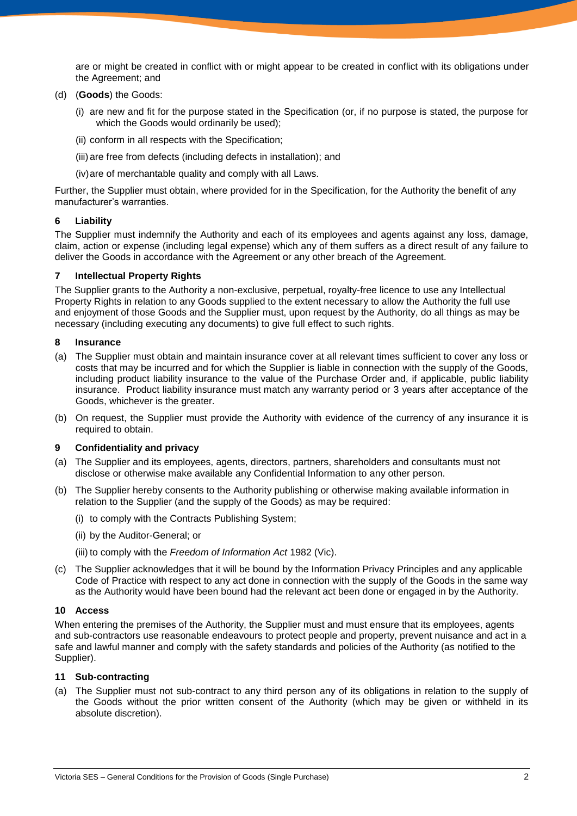are or might be created in conflict with or might appear to be created in conflict with its obligations under the Agreement; and

# (d) (**Goods**) the Goods:

- (i) are new and fit for the purpose stated in the Specification (or, if no purpose is stated, the purpose for which the Goods would ordinarily be used);
- (ii) conform in all respects with the Specification;
- (iii) are free from defects (including defects in installation); and
- (iv)are of merchantable quality and comply with all Laws.

Further, the Supplier must obtain, where provided for in the Specification, for the Authority the benefit of any manufacturer's warranties.

# **6 Liability**

The Supplier must indemnify the Authority and each of its employees and agents against any loss, damage, claim, action or expense (including legal expense) which any of them suffers as a direct result of any failure to deliver the Goods in accordance with the Agreement or any other breach of the Agreement.

## **7 Intellectual Property Rights**

The Supplier grants to the Authority a non-exclusive, perpetual, royalty-free licence to use any Intellectual Property Rights in relation to any Goods supplied to the extent necessary to allow the Authority the full use and enjoyment of those Goods and the Supplier must, upon request by the Authority, do all things as may be necessary (including executing any documents) to give full effect to such rights.

#### **8 Insurance**

- (a) The Supplier must obtain and maintain insurance cover at all relevant times sufficient to cover any loss or costs that may be incurred and for which the Supplier is liable in connection with the supply of the Goods, including product liability insurance to the value of the Purchase Order and, if applicable, public liability insurance. Product liability insurance must match any warranty period or 3 years after acceptance of the Goods, whichever is the greater.
- (b) On request, the Supplier must provide the Authority with evidence of the currency of any insurance it is required to obtain.

# **9 Confidentiality and privacy**

- (a) The Supplier and its employees, agents, directors, partners, shareholders and consultants must not disclose or otherwise make available any Confidential Information to any other person.
- (b) The Supplier hereby consents to the Authority publishing or otherwise making available information in relation to the Supplier (and the supply of the Goods) as may be required:
	- (i) to comply with the Contracts Publishing System;
	- (ii) by the Auditor-General; or
	- (iii) to comply with the *Freedom of Information Act* 1982 (Vic).
- (c) The Supplier acknowledges that it will be bound by the Information Privacy Principles and any applicable Code of Practice with respect to any act done in connection with the supply of the Goods in the same way as the Authority would have been bound had the relevant act been done or engaged in by the Authority.

#### **10 Access**

When entering the premises of the Authority, the Supplier must and must ensure that its employees, agents and sub-contractors use reasonable endeavours to protect people and property, prevent nuisance and act in a safe and lawful manner and comply with the safety standards and policies of the Authority (as notified to the Supplier).

#### **11 Sub-contracting**

(a) The Supplier must not sub-contract to any third person any of its obligations in relation to the supply of the Goods without the prior written consent of the Authority (which may be given or withheld in its absolute discretion).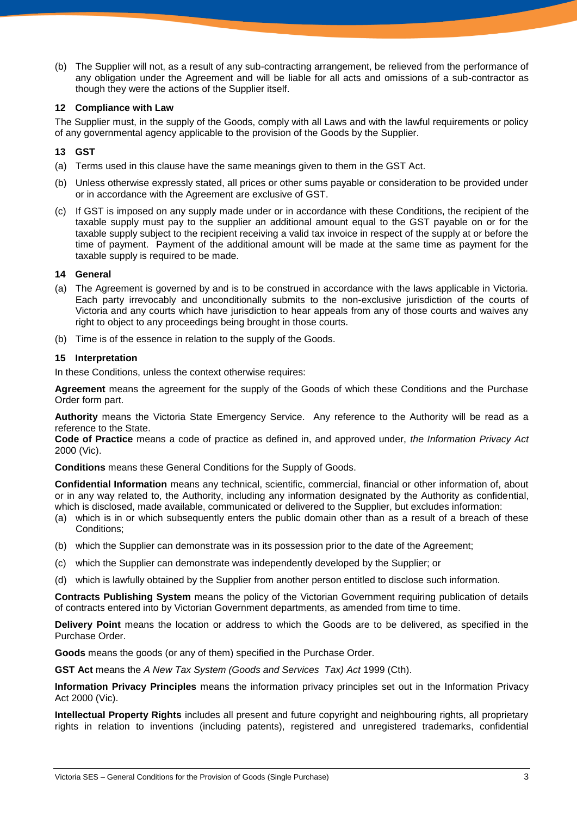(b) The Supplier will not, as a result of any sub-contracting arrangement, be relieved from the performance of any obligation under the Agreement and will be liable for all acts and omissions of a sub-contractor as though they were the actions of the Supplier itself.

## **12 Compliance with Law**

The Supplier must, in the supply of the Goods, comply with all Laws and with the lawful requirements or policy of any governmental agency applicable to the provision of the Goods by the Supplier.

## **13 GST**

- (a) Terms used in this clause have the same meanings given to them in the GST Act.
- (b) Unless otherwise expressly stated, all prices or other sums payable or consideration to be provided under or in accordance with the Agreement are exclusive of GST.
- (c) If GST is imposed on any supply made under or in accordance with these Conditions, the recipient of the taxable supply must pay to the supplier an additional amount equal to the GST payable on or for the taxable supply subject to the recipient receiving a valid tax invoice in respect of the supply at or before the time of payment. Payment of the additional amount will be made at the same time as payment for the taxable supply is required to be made.

## **14 General**

- (a) The Agreement is governed by and is to be construed in accordance with the laws applicable in Victoria. Each party irrevocably and unconditionally submits to the non-exclusive jurisdiction of the courts of Victoria and any courts which have jurisdiction to hear appeals from any of those courts and waives any right to object to any proceedings being brought in those courts.
- (b) Time is of the essence in relation to the supply of the Goods.

## **15 Interpretation**

In these Conditions, unless the context otherwise requires:

**Agreement** means the agreement for the supply of the Goods of which these Conditions and the Purchase Order form part.

**Authority** means the Victoria State Emergency Service. Any reference to the Authority will be read as a reference to the State.

**Code of Practice** means a code of practice as defined in, and approved under, *the Information Privacy Act* 2000 (Vic).

**Conditions** means these General Conditions for the Supply of Goods.

**Confidential Information** means any technical, scientific, commercial, financial or other information of, about or in any way related to, the Authority, including any information designated by the Authority as confidential, which is disclosed, made available, communicated or delivered to the Supplier, but excludes information:

- (a) which is in or which subsequently enters the public domain other than as a result of a breach of these Conditions;
- (b) which the Supplier can demonstrate was in its possession prior to the date of the Agreement;
- (c) which the Supplier can demonstrate was independently developed by the Supplier; or
- (d) which is lawfully obtained by the Supplier from another person entitled to disclose such information.

**Contracts Publishing System** means the policy of the Victorian Government requiring publication of details of contracts entered into by Victorian Government departments, as amended from time to time.

**Delivery Point** means the location or address to which the Goods are to be delivered, as specified in the Purchase Order.

**Goods** means the goods (or any of them) specified in the Purchase Order.

**GST Act** means the *A New Tax System (Goods and Services Tax) Act* 1999 (Cth).

**Information Privacy Principles** means the information privacy principles set out in the Information Privacy Act 2000 (Vic).

**Intellectual Property Rights** includes all present and future copyright and neighbouring rights, all proprietary rights in relation to inventions (including patents), registered and unregistered trademarks, confidential